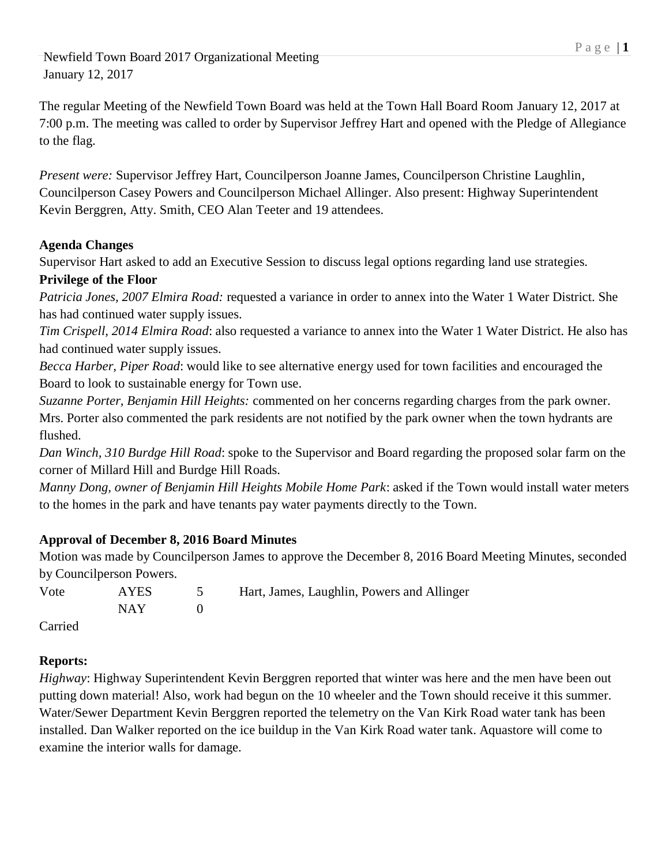The regular Meeting of the Newfield Town Board was held at the Town Hall Board Room January 12, 2017 at 7:00 p.m. The meeting was called to order by Supervisor Jeffrey Hart and opened with the Pledge of Allegiance to the flag.

*Present were:* Supervisor Jeffrey Hart, Councilperson Joanne James, Councilperson Christine Laughlin, Councilperson Casey Powers and Councilperson Michael Allinger. Also present: Highway Superintendent Kevin Berggren, Atty. Smith, CEO Alan Teeter and 19 attendees.

## **Agenda Changes**

Supervisor Hart asked to add an Executive Session to discuss legal options regarding land use strategies.

## **Privilege of the Floor**

*Patricia Jones, 2007 Elmira Road:* requested a variance in order to annex into the Water 1 Water District. She has had continued water supply issues.

*Tim Crispell, 2014 Elmira Road*: also requested a variance to annex into the Water 1 Water District. He also has had continued water supply issues.

*Becca Harber, Piper Road*: would like to see alternative energy used for town facilities and encouraged the Board to look to sustainable energy for Town use.

*Suzanne Porter, Benjamin Hill Heights:* commented on her concerns regarding charges from the park owner. Mrs. Porter also commented the park residents are not notified by the park owner when the town hydrants are flushed.

*Dan Winch, 310 Burdge Hill Road*: spoke to the Supervisor and Board regarding the proposed solar farm on the corner of Millard Hill and Burdge Hill Roads.

*Manny Dong, owner of Benjamin Hill Heights Mobile Home Park*: asked if the Town would install water meters to the homes in the park and have tenants pay water payments directly to the Town.

# **Approval of December 8, 2016 Board Minutes**

Motion was made by Councilperson James to approve the December 8, 2016 Board Meeting Minutes, seconded by Councilperson Powers.

| Vote            | AYES  | 5 Hart, James, Laughlin, Powers and Allinger |
|-----------------|-------|----------------------------------------------|
|                 | NAY 1 |                                              |
| $\sim$ $\sim$ 1 |       |                                              |

Carried

# **Reports:**

*Highway*: Highway Superintendent Kevin Berggren reported that winter was here and the men have been out putting down material! Also, work had begun on the 10 wheeler and the Town should receive it this summer. Water/Sewer Department Kevin Berggren reported the telemetry on the Van Kirk Road water tank has been installed. Dan Walker reported on the ice buildup in the Van Kirk Road water tank. Aquastore will come to examine the interior walls for damage.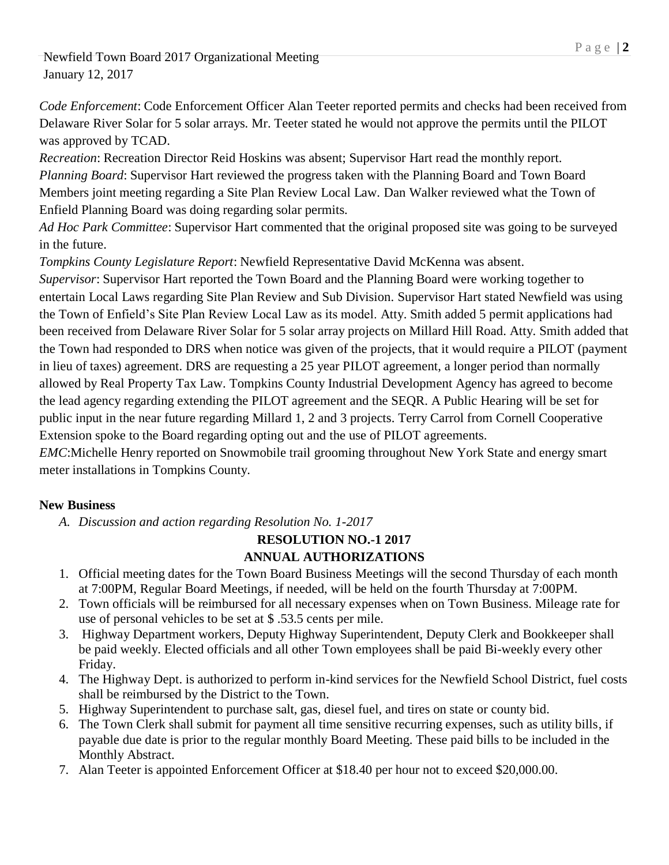*Code Enforcement*: Code Enforcement Officer Alan Teeter reported permits and checks had been received from Delaware River Solar for 5 solar arrays. Mr. Teeter stated he would not approve the permits until the PILOT was approved by TCAD.

*Recreation*: Recreation Director Reid Hoskins was absent; Supervisor Hart read the monthly report. *Planning Board*: Supervisor Hart reviewed the progress taken with the Planning Board and Town Board Members joint meeting regarding a Site Plan Review Local Law. Dan Walker reviewed what the Town of Enfield Planning Board was doing regarding solar permits.

*Ad Hoc Park Committee*: Supervisor Hart commented that the original proposed site was going to be surveyed in the future.

*Tompkins County Legislature Report*: Newfield Representative David McKenna was absent.

*Supervisor*: Supervisor Hart reported the Town Board and the Planning Board were working together to entertain Local Laws regarding Site Plan Review and Sub Division. Supervisor Hart stated Newfield was using the Town of Enfield's Site Plan Review Local Law as its model. Atty. Smith added 5 permit applications had been received from Delaware River Solar for 5 solar array projects on Millard Hill Road. Atty. Smith added that the Town had responded to DRS when notice was given of the projects, that it would require a PILOT (payment in lieu of taxes) agreement. DRS are requesting a 25 year PILOT agreement, a longer period than normally allowed by Real Property Tax Law. Tompkins County Industrial Development Agency has agreed to become the lead agency regarding extending the PILOT agreement and the SEQR. A Public Hearing will be set for public input in the near future regarding Millard 1, 2 and 3 projects. Terry Carrol from Cornell Cooperative Extension spoke to the Board regarding opting out and the use of PILOT agreements.

*EMC*:Michelle Henry reported on Snowmobile trail grooming throughout New York State and energy smart meter installations in Tompkins County.

## **New Business**

*A. Discussion and action regarding Resolution No. 1-2017*

#### **RESOLUTION NO.-1 2017 ANNUAL AUTHORIZATIONS**

- 1. Official meeting dates for the Town Board Business Meetings will the second Thursday of each month at 7:00PM, Regular Board Meetings, if needed, will be held on the fourth Thursday at 7:00PM.
- 2. Town officials will be reimbursed for all necessary expenses when on Town Business. Mileage rate for use of personal vehicles to be set at \$ .53.5 cents per mile.
- 3. Highway Department workers, Deputy Highway Superintendent, Deputy Clerk and Bookkeeper shall be paid weekly. Elected officials and all other Town employees shall be paid Bi-weekly every other Friday.
- 4. The Highway Dept. is authorized to perform in-kind services for the Newfield School District, fuel costs shall be reimbursed by the District to the Town.
- 5. Highway Superintendent to purchase salt, gas, diesel fuel, and tires on state or county bid.
- 6. The Town Clerk shall submit for payment all time sensitive recurring expenses, such as utility bills, if payable due date is prior to the regular monthly Board Meeting. These paid bills to be included in the Monthly Abstract.
- 7. Alan Teeter is appointed Enforcement Officer at \$18.40 per hour not to exceed \$20,000.00.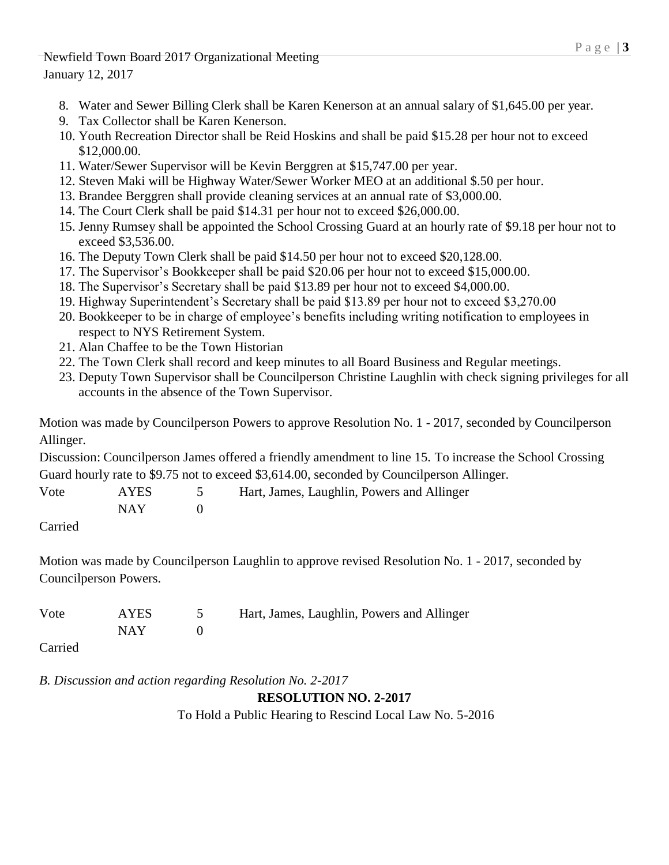- 8. Water and Sewer Billing Clerk shall be Karen Kenerson at an annual salary of \$1,645.00 per year.
- 9. Tax Collector shall be Karen Kenerson.
- 10. Youth Recreation Director shall be Reid Hoskins and shall be paid \$15.28 per hour not to exceed \$12,000.00.
- 11. Water/Sewer Supervisor will be Kevin Berggren at \$15,747.00 per year.
- 12. Steven Maki will be Highway Water/Sewer Worker MEO at an additional \$.50 per hour.
- 13. Brandee Berggren shall provide cleaning services at an annual rate of \$3,000.00.
- 14. The Court Clerk shall be paid \$14.31 per hour not to exceed \$26,000.00.
- 15. Jenny Rumsey shall be appointed the School Crossing Guard at an hourly rate of \$9.18 per hour not to exceed \$3,536.00.
- 16. The Deputy Town Clerk shall be paid \$14.50 per hour not to exceed \$20,128.00.
- 17. The Supervisor's Bookkeeper shall be paid \$20.06 per hour not to exceed \$15,000.00.
- 18. The Supervisor's Secretary shall be paid \$13.89 per hour not to exceed \$4,000.00.
- 19. Highway Superintendent's Secretary shall be paid \$13.89 per hour not to exceed \$3,270.00
- 20. Bookkeeper to be in charge of employee's benefits including writing notification to employees in respect to NYS Retirement System.
- 21. Alan Chaffee to be the Town Historian
- 22. The Town Clerk shall record and keep minutes to all Board Business and Regular meetings.
- 23. Deputy Town Supervisor shall be Councilperson Christine Laughlin with check signing privileges for all accounts in the absence of the Town Supervisor.

Motion was made by Councilperson Powers to approve Resolution No. 1 - 2017, seconded by Councilperson Allinger.

Discussion: Councilperson James offered a friendly amendment to line 15. To increase the School Crossing Guard hourly rate to \$9.75 not to exceed \$3,614.00, seconded by Councilperson Allinger.

| Vote                        | AYES  | Hart, James, Laughlin, Powers and Allinger |
|-----------------------------|-------|--------------------------------------------|
|                             | NAY 1 |                                            |
| $\sim$ $\sim$ $\sim$ $\sim$ |       |                                            |

Carried

Motion was made by Councilperson Laughlin to approve revised Resolution No. 1 - 2017, seconded by Councilperson Powers.

| Vote | AYES  | Hart, James, Laughlin, Powers and Allinger |
|------|-------|--------------------------------------------|
|      | NAY 1 |                                            |
|      |       |                                            |

Carried

*B. Discussion and action regarding Resolution No. 2-2017*

## **RESOLUTION NO. 2-2017**

To Hold a Public Hearing to Rescind Local Law No. 5-2016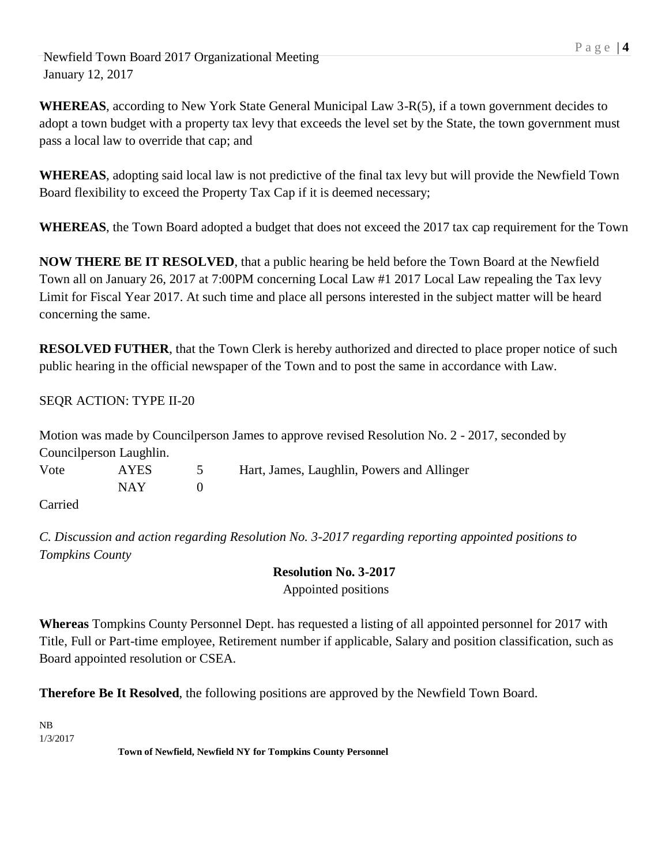**WHEREAS**, according to New York State General Municipal Law 3-R(5), if a town government decides to adopt a town budget with a property tax levy that exceeds the level set by the State, the town government must pass a local law to override that cap; and

**WHEREAS**, adopting said local law is not predictive of the final tax levy but will provide the Newfield Town Board flexibility to exceed the Property Tax Cap if it is deemed necessary;

**WHEREAS**, the Town Board adopted a budget that does not exceed the 2017 tax cap requirement for the Town

**NOW THERE BE IT RESOLVED**, that a public hearing be held before the Town Board at the Newfield Town all on January 26, 2017 at 7:00PM concerning Local Law #1 2017 Local Law repealing the Tax levy Limit for Fiscal Year 2017. At such time and place all persons interested in the subject matter will be heard concerning the same.

**RESOLVED FUTHER**, that the Town Clerk is hereby authorized and directed to place proper notice of such public hearing in the official newspaper of the Town and to post the same in accordance with Law.

SEQR ACTION: TYPE II-20

*Tompkins County*

Motion was made by Councilperson James to approve revised Resolution No. 2 - 2017, seconded by Councilperson Laughlin. Vote AYES 5 Hart, James, Laughlin, Powers and Allinger NAY 0 Carried

*C. Discussion and action regarding Resolution No. 3-2017 regarding reporting appointed positions to* 

**Resolution No. 3-2017** Appointed positions

**Whereas** Tompkins County Personnel Dept. has requested a listing of all appointed personnel for 2017 with Title, Full or Part-time employee, Retirement number if applicable, Salary and position classification, such as Board appointed resolution or CSEA.

**Therefore Be It Resolved**, the following positions are approved by the Newfield Town Board.

NB 1/3/2017

**Town of Newfield, Newfield NY for Tompkins County Personnel**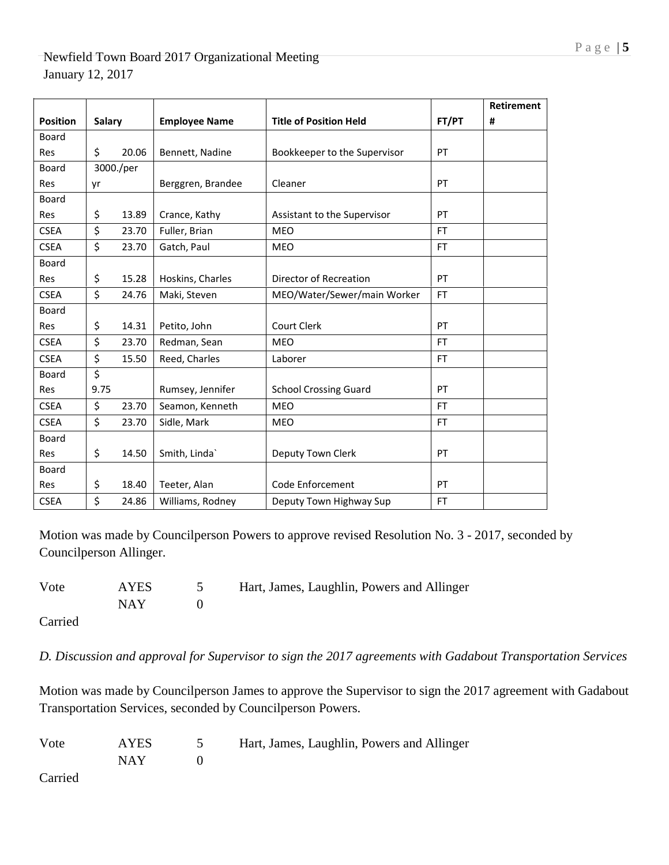|                 |               |           |                      |                               |           | <b>Retirement</b> |
|-----------------|---------------|-----------|----------------------|-------------------------------|-----------|-------------------|
| <b>Position</b> | <b>Salary</b> |           | <b>Employee Name</b> | <b>Title of Position Held</b> | FT/PT     | #                 |
| <b>Board</b>    |               |           |                      |                               |           |                   |
| Res             | \$            | 20.06     | Bennett, Nadine      | Bookkeeper to the Supervisor  | PT        |                   |
| Board           |               | 3000./per |                      |                               |           |                   |
| <b>Res</b>      | yr            |           | Berggren, Brandee    | Cleaner                       | PT        |                   |
| Board           |               |           |                      |                               |           |                   |
| Res             | \$            | 13.89     | Crance, Kathy        | Assistant to the Supervisor   | PT        |                   |
| <b>CSEA</b>     | \$            | 23.70     | Fuller, Brian        | <b>MEO</b>                    | <b>FT</b> |                   |
| <b>CSEA</b>     | \$            | 23.70     | Gatch, Paul          | <b>MEO</b>                    | FT        |                   |
| <b>Board</b>    |               |           |                      |                               |           |                   |
| <b>Res</b>      | \$            | 15.28     | Hoskins, Charles     | Director of Recreation        | PT        |                   |
| <b>CSEA</b>     | \$            | 24.76     | Maki, Steven         | MEO/Water/Sewer/main Worker   | FT        |                   |
| <b>Board</b>    |               |           |                      |                               |           |                   |
| Res             | \$            | 14.31     | Petito, John         | Court Clerk                   | PT        |                   |
| <b>CSEA</b>     | \$            | 23.70     | Redman, Sean         | <b>MEO</b>                    | <b>FT</b> |                   |
| <b>CSEA</b>     | \$            | 15.50     | Reed, Charles        | Laborer                       | <b>FT</b> |                   |
| <b>Board</b>    | \$            |           |                      |                               |           |                   |
| <b>Res</b>      | 9.75          |           | Rumsey, Jennifer     | <b>School Crossing Guard</b>  | PT        |                   |
| <b>CSEA</b>     | \$            | 23.70     | Seamon, Kenneth      | <b>MEO</b>                    | <b>FT</b> |                   |
| <b>CSEA</b>     | \$            | 23.70     | Sidle, Mark          | <b>MEO</b>                    | FT        |                   |
| <b>Board</b>    |               |           |                      |                               |           |                   |
| <b>Res</b>      | \$            | 14.50     | Smith, Linda`        | Deputy Town Clerk             | PT        |                   |
| <b>Board</b>    |               |           |                      |                               |           |                   |
| Res             | \$            | 18.40     | Teeter, Alan         | Code Enforcement              | PT        |                   |
| <b>CSEA</b>     | \$            | 24.86     | Williams, Rodney     | Deputy Town Highway Sup       | FT        |                   |

Motion was made by Councilperson Powers to approve revised Resolution No. 3 - 2017, seconded by Councilperson Allinger.

| Vote | AYES | Hart, James, Laughlin, Powers and Allinger |
|------|------|--------------------------------------------|
|      | NAY  |                                            |

Carried

*D. Discussion and approval for Supervisor to sign the 2017 agreements with Gadabout Transportation Services*

Motion was made by Councilperson James to approve the Supervisor to sign the 2017 agreement with Gadabout Transportation Services, seconded by Councilperson Powers.

| Vote    | AYES  | Hart, James, Laughlin, Powers and Allinger |
|---------|-------|--------------------------------------------|
|         | NAY 1 |                                            |
| Carried |       |                                            |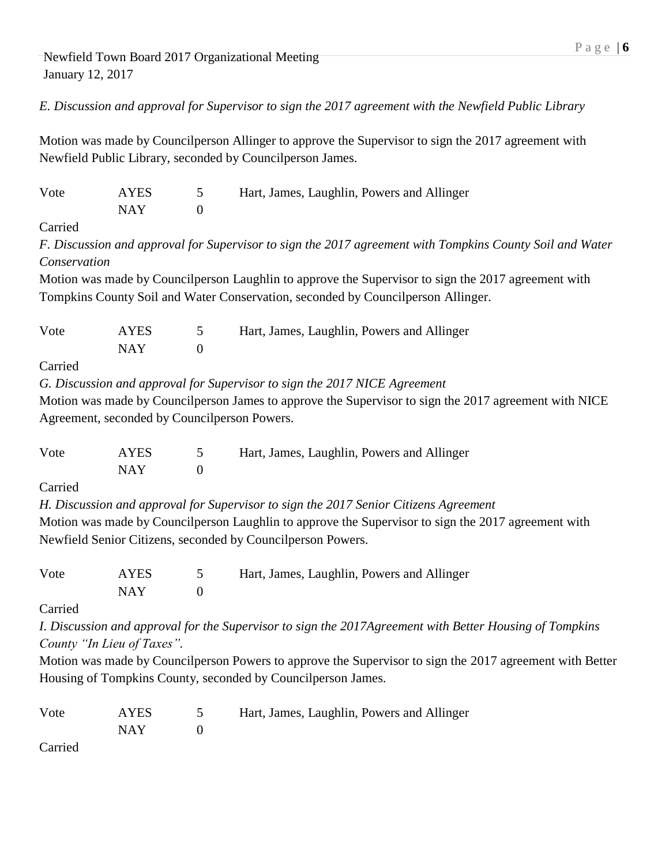*E. Discussion and approval for Supervisor to sign the 2017 agreement with the Newfield Public Library*

Motion was made by Councilperson Allinger to approve the Supervisor to sign the 2017 agreement with Newfield Public Library, seconded by Councilperson James.

| Vote                       | <b>AYES</b> | 5                | Hart, James, Laughlin, Powers and Allinger                                                               |
|----------------------------|-------------|------------------|----------------------------------------------------------------------------------------------------------|
|                            | <b>NAY</b>  | $\boldsymbol{0}$ |                                                                                                          |
| Carried                    |             |                  |                                                                                                          |
|                            |             |                  | F. Discussion and approval for Supervisor to sign the 2017 agreement with Tompkins County Soil and Water |
| Conservation               |             |                  |                                                                                                          |
|                            |             |                  | Motion was made by Councilperson Laughlin to approve the Supervisor to sign the 2017 agreement with      |
|                            |             |                  | Tompkins County Soil and Water Conservation, seconded by Councilperson Allinger.                         |
|                            |             |                  |                                                                                                          |
| Vote                       | <b>AYES</b> | 5                | Hart, James, Laughlin, Powers and Allinger                                                               |
|                            | <b>NAY</b>  | $\boldsymbol{0}$ |                                                                                                          |
| Carried                    |             |                  |                                                                                                          |
|                            |             |                  | G. Discussion and approval for Supervisor to sign the 2017 NICE Agreement                                |
|                            |             |                  | Motion was made by Councilperson James to approve the Supervisor to sign the 2017 agreement with NICE    |
|                            |             |                  | Agreement, seconded by Councilperson Powers.                                                             |
|                            |             |                  |                                                                                                          |
| Vote                       | <b>AYES</b> | 5                | Hart, James, Laughlin, Powers and Allinger                                                               |
|                            | <b>NAY</b>  | $\boldsymbol{0}$ |                                                                                                          |
| Carried                    |             |                  |                                                                                                          |
|                            |             |                  | H. Discussion and approval for Supervisor to sign the 2017 Senior Citizens Agreement                     |
|                            |             |                  | Motion was made by Councilperson Laughlin to approve the Supervisor to sign the 2017 agreement with      |
|                            |             |                  | Newfield Senior Citizens, seconded by Councilperson Powers.                                              |
|                            |             |                  |                                                                                                          |
| Vote                       | <b>AYES</b> | 5                | Hart, James, Laughlin, Powers and Allinger                                                               |
|                            | <b>NAY</b>  | $\boldsymbol{0}$ |                                                                                                          |
| Carried                    |             |                  |                                                                                                          |
|                            |             |                  | I. Discussion and approval for the Supervisor to sign the 2017Agreement with Better Housing of Tompkins  |
| County "In Lieu of Taxes". |             |                  |                                                                                                          |
|                            |             |                  | Motion was made by Councilperson Powers to approve the Supervisor to sign the 2017 agreement with Better |
|                            |             |                  | Housing of Tompkins County, seconded by Councilperson James.                                             |
|                            |             |                  |                                                                                                          |
| Vote                       | <b>AYES</b> | 5                | Hart, James, Laughlin, Powers and Allinger                                                               |
|                            | <b>NAY</b>  | $\overline{0}$   |                                                                                                          |
| Carried                    |             |                  |                                                                                                          |
|                            |             |                  |                                                                                                          |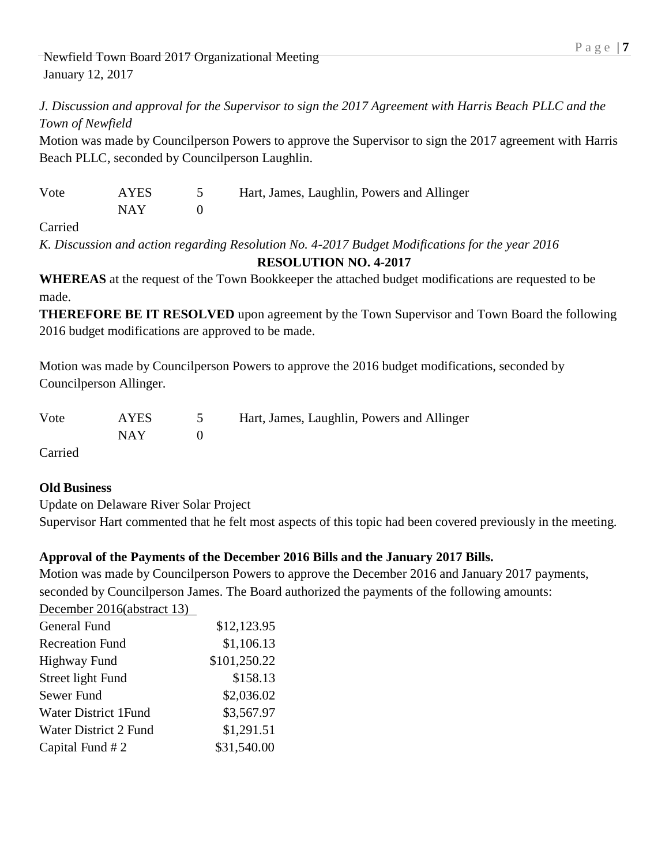*J. Discussion and approval for the Supervisor to sign the 2017 Agreement with Harris Beach PLLC and the Town of Newfield*

Motion was made by Councilperson Powers to approve the Supervisor to sign the 2017 agreement with Harris Beach PLLC, seconded by Councilperson Laughlin.

| Vote | <b>AYES</b> | Hart, James, Laughlin, Powers and Allinger |
|------|-------------|--------------------------------------------|
|      | NAY         |                                            |

Carried

*K. Discussion and action regarding Resolution No. 4-2017 Budget Modifications for the year 2016* **RESOLUTION NO. 4-2017**

**WHEREAS** at the request of the Town Bookkeeper the attached budget modifications are requested to be made.

**THEREFORE BE IT RESOLVED** upon agreement by the Town Supervisor and Town Board the following 2016 budget modifications are approved to be made.

Motion was made by Councilperson Powers to approve the 2016 budget modifications, seconded by Councilperson Allinger.

| Vote                          | <b>AYES</b> | Hart, James, Laughlin, Powers and Allinger |
|-------------------------------|-------------|--------------------------------------------|
|                               | NAY.        |                                            |
| $C$ <sub>amia</sub> $\lambda$ |             |                                            |

Carried

## **Old Business**

Update on Delaware River Solar Project

Supervisor Hart commented that he felt most aspects of this topic had been covered previously in the meeting.

## **Approval of the Payments of the December 2016 Bills and the January 2017 Bills.**

Motion was made by Councilperson Powers to approve the December 2016 and January 2017 payments, seconded by Councilperson James. The Board authorized the payments of the following amounts: December 2016(abstract 13)

| December 2010(abstract 19)   |              |
|------------------------------|--------------|
| General Fund                 | \$12,123.95  |
| <b>Recreation Fund</b>       | \$1,106.13   |
| <b>Highway Fund</b>          | \$101,250.22 |
| Street light Fund            | \$158.13     |
| Sewer Fund                   | \$2,036.02   |
| <b>Water District 1Fund</b>  | \$3,567.97   |
| <b>Water District 2 Fund</b> | \$1,291.51   |
| Capital Fund #2              | \$31,540.00  |
|                              |              |